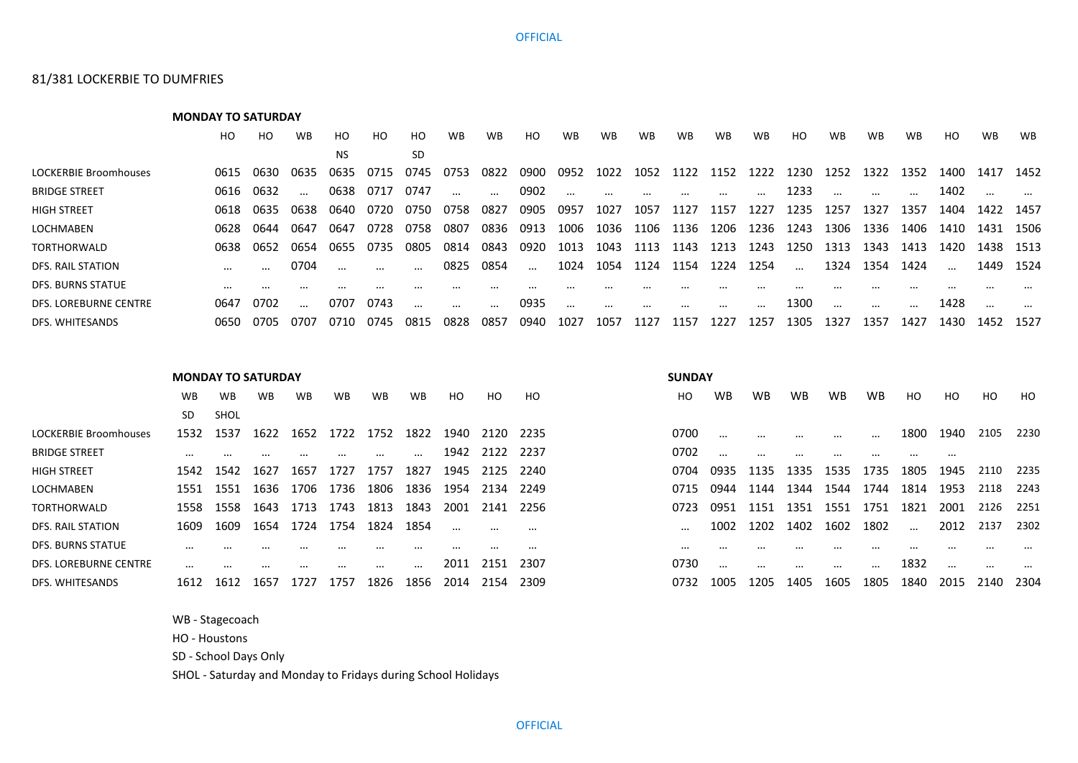## **OFFICIAL**

## 81/381 LOCKERBIE TO DUMFRIES

**MONDAY TO SATURDAY** HO HO WB HO HO HO WB WB HO WB WB WB WB WB WB HO WB WB WB HO WB WB NS SD LOCKERBIE Broomhouses 0615 0630 0635 0635 0715 0745 0753 0822 0900 0952 1022 1052 1122 1152 1222 1230 1252 1322 1352 1400 1417 1452 BRIDGE STREET 0616 0632 … 0638 0717 0747 … … 0902 … … … … … … 1233 … … … 1402 … … HIGH STREET 0618 0635 0638 0640 0720 0750 0758 0827 0905 0957 1027 1057 1127 1157 1227 1235 1257 1327 1357 1404 1422 1457 LOCHMABEN 0628 0644 0647 0647 0728 0758 0807 0836 0913 1006 1036 1106 1136 1206 1236 1243 1306 1336 1406 1410 1431 1506 TORTHORWALD 0638 0652 0654 0655 0735 0805 0814 0843 0920 1013 1043 1113 1143 1213 1243 1250 1313 1343 1413 1420 1438 1513 DFS. RAIL STATION … … 0704 … … … 0825 0854 … 1024 1054 1124 1154 1224 1254 … 1324 1354 1424 … 1449 1524 DFS. BURNS STATUE … … … … … … … … … … … … … … … … … … … … … … DFS. LOREBURNE CENTRE 0647 0702 … 0707 0743 … … … 0935 … … … … … … 1300 … … … 1428 … … DFS. WHITESANDS 0650 0705 0707 0710 0745 0815 0828 0857 0940 1027 1057 1127 1157 1227 1257 1305 1327 1357 1427 1430 1452 1527

|                              | <b>MONDAY TO SATURDAY</b> |          |           |           |           |           |           |                |           |                | <b>SUNDAY</b> |          |           |           |           |           |          |                |          |          |
|------------------------------|---------------------------|----------|-----------|-----------|-----------|-----------|-----------|----------------|-----------|----------------|---------------|----------|-----------|-----------|-----------|-----------|----------|----------------|----------|----------|
|                              | <b>WB</b>                 | WB       | <b>WB</b> | <b>WB</b> | <b>WB</b> | <b>WB</b> | <b>WB</b> | H <sub>O</sub> | HO.       | H <sub>O</sub> | HO.           | WB       | <b>WB</b> | <b>WB</b> | <b>WB</b> | <b>WB</b> | HO.      | H <sub>O</sub> | HO       | HO.      |
|                              | SD.                       | SHOL     |           |           |           |           |           |                |           |                |               |          |           |           |           |           |          |                |          |          |
| <b>LOCKERBIE Broomhouses</b> | 1532                      | 1537     | 1622      | 1652      | 1722      | 1752      | 1822      | 1940           | 2120      | 2235           | 0700          | $\cdots$ |           |           | $\cdots$  | $\cdots$  | 1800     | 1940           | 2105     | 2230     |
| <b>BRIDGE STREET</b>         |                           |          |           |           |           | $\cdots$  | $\cdots$  | 1942           | 2122 2237 |                | 0702          | $\cdots$ |           |           | $\cdots$  | $\cdots$  |          |                |          |          |
| <b>HIGH STREET</b>           | 1542                      | 1542     | 1627      | 1657      | 1727      | 1757      | 1827      | 1945           | 2125      | 2240           | 0704          | 0935     | 1135      | 1335      | 1535      | 1735      | 1805     | 1945           | 2110     | 2235     |
| <b>LOCHMABEN</b>             | 1551                      | 1551     | 1636      | 1706      | 1736      | 1806      | 1836      | 1954           | 2134      | 2249           | 0715          | 0944     | 1144      | 1344      | 1544      | 1744      | 1814     | 1953           | 2118     | 2243     |
| <b>TORTHORWALD</b>           | 1558                      | 1558     | 1643      | 1713      | 1743      | 1813      | 1843      | 2001           | 2141      | -2256          | 0723          | 0951     | 1151      | 1351      | 1551      | 1751      | 1821     | 2001           | 2126     | 2251     |
| DFS. RAIL STATION            | 1609                      | 1609     | 1654      | 1724      | 1754      | 1824      | 1854      | $\cdots$       | $\cdots$  | $\cdots$       |               | 1002     | 1202      | 1402      | 1602      | 1802      | $\cdots$ | 2012           | 2137     | 2302     |
| DFS. BURNS STATUE            |                           |          |           |           |           |           |           |                | $\cdots$  | $\cdots$       | $\cdots$      |          |           |           |           |           |          |                |          | $\cdots$ |
| <b>DFS. LOREBURNE CENTRE</b> | $\cdots$                  | $\cdots$ | $\cdots$  | $\cdots$  | $\cdots$  | $\cdots$  | $\cdots$  | 2011           | 2151      | 2307           | 0730          | $\cdots$ | $\cdots$  | $\cdots$  | $\cdots$  | $\cdots$  | 1832     | $\cdots$       | $\cdots$ | $\cdots$ |
| DFS. WHITESANDS              | 1612                      | 1612     | 1657      | 1727      | 1757      | 1826      | 1856      | 2014           | 2154      | 2309           | 0732          | 1005     | 1205      | 1405      | 1605      | 1805      | 1840     | 2015           | 2140     | 2304     |

WB - Stagecoach

HO - Houstons

SD - School Days Only

SHOL - Saturday and Monday to Fridays during School Holidays